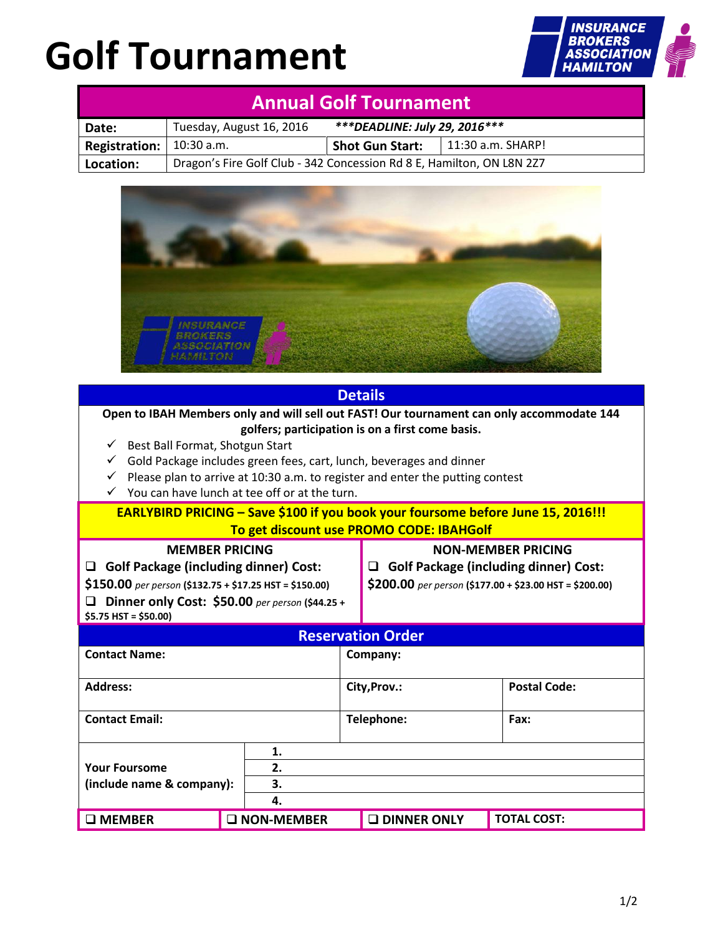# **Golf Tournament**



| <b>Annual Golf Tournament</b> |                                                                       |                                |                   |  |  |  |  |
|-------------------------------|-----------------------------------------------------------------------|--------------------------------|-------------------|--|--|--|--|
| Date:                         | Tuesday, August 16, 2016                                              | *** DEADLINE: July 29, 2016*** |                   |  |  |  |  |
| <b>Registration:</b>          | $10:30$ a.m.                                                          | <b>Shot Gun Start:</b>         | 11:30 a.m. SHARP! |  |  |  |  |
| Location:                     | Dragon's Fire Golf Club - 342 Concession Rd 8 E, Hamilton, ON L8N 2Z7 |                                |                   |  |  |  |  |



| <b>Details</b>                                                                                                                                                                                                                                                                                                                                                                                           |                     |  |                                                                                                                                           |                     |  |  |  |  |
|----------------------------------------------------------------------------------------------------------------------------------------------------------------------------------------------------------------------------------------------------------------------------------------------------------------------------------------------------------------------------------------------------------|---------------------|--|-------------------------------------------------------------------------------------------------------------------------------------------|---------------------|--|--|--|--|
| Open to IBAH Members only and will sell out FAST! Our tournament can only accommodate 144<br>golfers; participation is on a first come basis.<br>Best Ball Format, Shotgun Start<br>✓<br>Gold Package includes green fees, cart, lunch, beverages and dinner<br>✓<br>Please plan to arrive at 10:30 a.m. to register and enter the putting contest<br>✓<br>You can have lunch at tee off or at the turn. |                     |  |                                                                                                                                           |                     |  |  |  |  |
| EARLYBIRD PRICING - Save \$100 if you book your foursome before June 15, 2016!!!<br>To get discount use PROMO CODE: IBAHGolf                                                                                                                                                                                                                                                                             |                     |  |                                                                                                                                           |                     |  |  |  |  |
| <b>MEMBER PRICING</b><br><b>Golf Package (including dinner) Cost:</b><br>□<br>\$150.00 per person (\$132.75 + \$17.25 HST = \$150.00)<br>Dinner only Cost: \$50.00 per person (\$44.25 +<br>$$5.75$ HST = \$50.00)                                                                                                                                                                                       |                     |  | <b>NON-MEMBER PRICING</b><br><b>Golf Package (including dinner) Cost:</b><br>◻<br>\$200.00 per person (\$177.00 + \$23.00 HST = \$200.00) |                     |  |  |  |  |
| <b>Reservation Order</b>                                                                                                                                                                                                                                                                                                                                                                                 |                     |  |                                                                                                                                           |                     |  |  |  |  |
| <b>Contact Name:</b>                                                                                                                                                                                                                                                                                                                                                                                     |                     |  | Company:                                                                                                                                  |                     |  |  |  |  |
| <b>Address:</b>                                                                                                                                                                                                                                                                                                                                                                                          |                     |  | City, Prov.:                                                                                                                              | <b>Postal Code:</b> |  |  |  |  |
| <b>Contact Email:</b>                                                                                                                                                                                                                                                                                                                                                                                    |                     |  | Telephone:                                                                                                                                | Fax:                |  |  |  |  |
| 1.<br>2.<br><b>Your Foursome</b><br>(include name & company):<br>3.<br>4.                                                                                                                                                                                                                                                                                                                                |                     |  |                                                                                                                                           |                     |  |  |  |  |
| $\square$ MEMBER                                                                                                                                                                                                                                                                                                                                                                                         | <b>O NON-MEMBER</b> |  | <b>Q DINNER ONLY</b>                                                                                                                      | <b>TOTAL COST:</b>  |  |  |  |  |